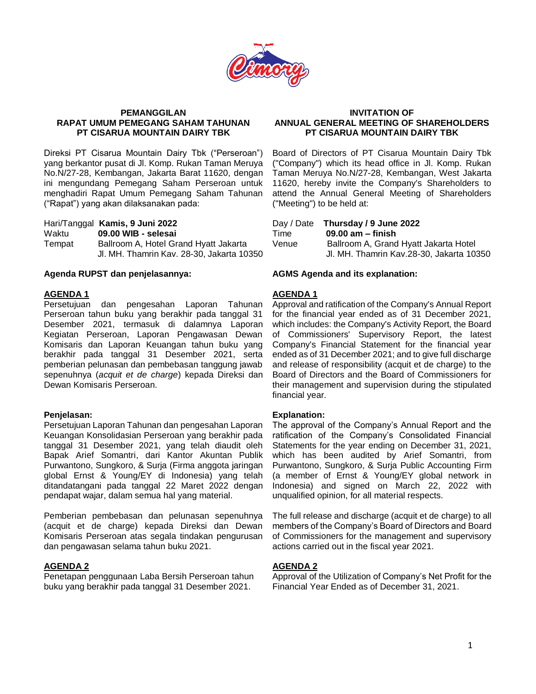

#### **PEMANGGILAN RAPAT UMUM PEMEGANG SAHAM TAHUNAN PT CISARUA MOUNTAIN DAIRY TBK**

Direksi PT Cisarua Mountain Dairy Tbk ("Perseroan") yang berkantor pusat di Jl. Komp. Rukan Taman Meruya No.N/27-28, Kembangan, Jakarta Barat 11620, dengan ini mengundang Pemegang Saham Perseroan untuk menghadiri Rapat Umum Pemegang Saham Tahunan ("Rapat") yang akan dilaksanakan pada:

Hari/Tanggal **Kamis, 9 Juni 2022**

Waktu **09.00 WIB - selesai**

Tempat Ballroom A, Hotel Grand Hyatt Jakarta Jl. MH. Thamrin Kav. 28-30, Jakarta 10350

## **Agenda RUPST dan penjelasannya: AGMS Agenda and its explanation:**

## **AGENDA 1**

Persetujuan dan pengesahan Laporan Tahunan Perseroan tahun buku yang berakhir pada tanggal 31 Desember 2021, termasuk di dalamnya Laporan Kegiatan Perseroan, Laporan Pengawasan Dewan Komisaris dan Laporan Keuangan tahun buku yang berakhir pada tanggal 31 Desember 2021, serta pemberian pelunasan dan pembebasan tanggung jawab sepenuhnya (*acquit et de charge*) kepada Direksi dan Dewan Komisaris Perseroan.

## **Penjelasan:**

Persetujuan Laporan Tahunan dan pengesahan Laporan Keuangan Konsolidasian Perseroan yang berakhir pada tanggal 31 Desember 2021, yang telah diaudit oleh Bapak Arief Somantri, dari Kantor Akuntan Publik Purwantono, Sungkoro, & Surja (Firma anggota jaringan global Ernst & Young/EY di Indonesia) yang telah ditandatangani pada tanggal 22 Maret 2022 dengan pendapat wajar, dalam semua hal yang material.

Pemberian pembebasan dan pelunasan sepenuhnya (acquit et de charge) kepada Direksi dan Dewan Komisaris Perseroan atas segala tindakan pengurusan dan pengawasan selama tahun buku 2021.

## **AGENDA 2**

Penetapan penggunaan Laba Bersih Perseroan tahun buku yang berakhir pada tanggal 31 Desember 2021.

## **INVITATION OF ANNUAL GENERAL MEETING OF SHAREHOLDERS PT CISARUA MOUNTAIN DAIRY TBK**

Board of Directors of PT Cisarua Mountain Dairy Tbk ("Company") which its head office in Jl. Komp. Rukan Taman Meruya No.N/27-28, Kembangan, West Jakarta 11620, hereby invite the Company's Shareholders to attend the Annual General Meeting of Shareholders ("Meeting") to be held at:

| Time  | Day / Date Thursday / 9 June 2022<br>$09.00$ am $-$ finish                        |
|-------|-----------------------------------------------------------------------------------|
| Venue | Ballroom A, Grand Hyatt Jakarta Hotel<br>Jl. MH. Thamrin Kav.28-30, Jakarta 10350 |

# **AGENDA 1**

Approval and ratification of the Company's Annual Report for the financial year ended as of 31 December 2021, which includes: the Company's Activity Report, the Board of Commissioners' Supervisory Report, the latest Company's Financial Statement for the financial year ended as of 31 December 2021; and to give full discharge and release of responsibility (acquit et de charge) to the Board of Directors and the Board of Commissioners for their management and supervision during the stipulated financial year.

## **Explanation:**

The approval of the Company's Annual Report and the ratification of the Company's Consolidated Financial Statements for the year ending on December 31, 2021, which has been audited by Arief Somantri, from Purwantono, Sungkoro, & Surja Public Accounting Firm (a member of Ernst & Young/EY global network in Indonesia) and signed on March 22, 2022 with unqualified opinion, for all material respects.

The full release and discharge (acquit et de charge) to all members of the Company's Board of Directors and Board of Commissioners for the management and supervisory actions carried out in the fiscal year 2021.

## **AGENDA 2**

Approval of the Utilization of Company's Net Profit for the Financial Year Ended as of December 31, 2021.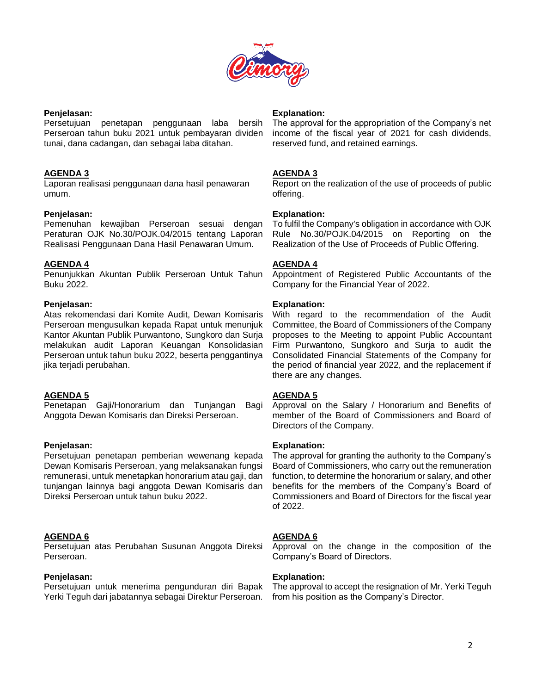

#### **Penjelasan:**

Persetujuan penetapan penggunaan laba bersih Perseroan tahun buku 2021 untuk pembayaran dividen tunai, dana cadangan, dan sebagai laba ditahan.

## **AGENDA 3**

Laporan realisasi penggunaan dana hasil penawaran umum.

# **Penjelasan:**

Pemenuhan kewajiban Perseroan sesuai dengan Peraturan OJK No.30/POJK.04/2015 tentang Laporan Realisasi Penggunaan Dana Hasil Penawaran Umum.

# **AGENDA 4**

Penunjukkan Akuntan Publik Perseroan Untuk Tahun Buku 2022.

# **Penjelasan:**

Atas rekomendasi dari Komite Audit, Dewan Komisaris Perseroan mengusulkan kepada Rapat untuk menunjuk Kantor Akuntan Publik Purwantono, Sungkoro dan Surja melakukan audit Laporan Keuangan Konsolidasian Perseroan untuk tahun buku 2022, beserta penggantinya jika terjadi perubahan.

# **AGENDA 5**

Penetapan Gaji/Honorarium dan Tunjangan Bagi Anggota Dewan Komisaris dan Direksi Perseroan.

## **Penjelasan:**

Persetujuan penetapan pemberian wewenang kepada Dewan Komisaris Perseroan, yang melaksanakan fungsi remunerasi, untuk menetapkan honorarium atau gaji, dan tunjangan lainnya bagi anggota Dewan Komisaris dan Direksi Perseroan untuk tahun buku 2022.

# **AGENDA 6**

Persetujuan atas Perubahan Susunan Anggota Direksi Perseroan.

## **Penjelasan:**

Persetujuan untuk menerima pengunduran diri Bapak Yerki Teguh dari jabatannya sebagai Direktur Perseroan.

## **Explanation:**

The approval for the appropriation of the Company's net income of the fiscal year of 2021 for cash dividends, reserved fund, and retained earnings.

# **AGENDA 3**

Report on the realization of the use of proceeds of public offering.

# **Explanation:**

To fulfil the Company's obligation in accordance with OJK Rule No.30/POJK.04/2015 on Reporting on the Realization of the Use of Proceeds of Public Offering.

# **AGENDA 4**

Appointment of Registered Public Accountants of the Company for the Financial Year of 2022.

# **Explanation:**

With regard to the recommendation of the Audit Committee, the Board of Commissioners of the Company proposes to the Meeting to appoint Public Accountant Firm Purwantono, Sungkoro and Surja to audit the Consolidated Financial Statements of the Company for the period of financial year 2022, and the replacement if there are any changes.

# **AGENDA 5**

Approval on the Salary / Honorarium and Benefits of member of the Board of Commissioners and Board of Directors of the Company.

## **Explanation:**

The approval for granting the authority to the Company's Board of Commissioners, who carry out the remuneration function, to determine the honorarium or salary, and other benefits for the members of the Company's Board of Commissioners and Board of Directors for the fiscal year of 2022.

# **AGENDA 6**

Approval on the change in the composition of the Company's Board of Directors.

## **Explanation:**

The approval to accept the resignation of Mr. Yerki Teguh from his position as the Company's Director.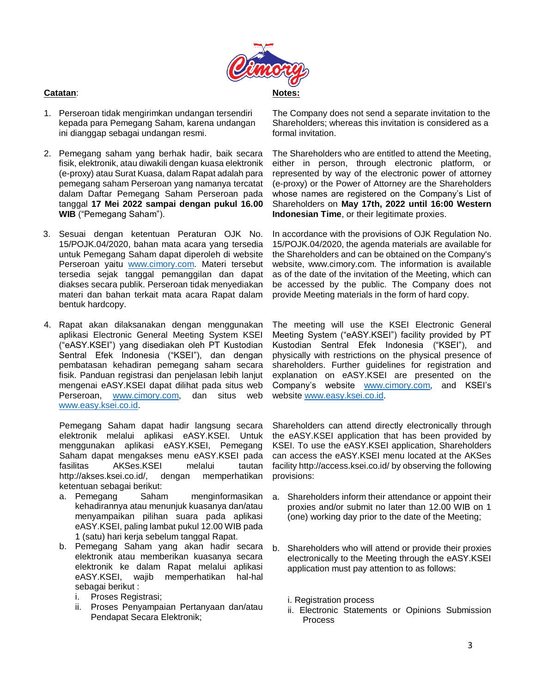

# **Catatan**:

- 1. Perseroan tidak mengirimkan undangan tersendiri kepada para Pemegang Saham, karena undangan ini dianggap sebagai undangan resmi.
- 2. Pemegang saham yang berhak hadir, baik secara fisik, elektronik, atau diwakili dengan kuasa elektronik (e-proxy) atau Surat Kuasa, dalam Rapat adalah para pemegang saham Perseroan yang namanya tercatat dalam Daftar Pemegang Saham Perseroan pada tanggal **17 Mei 2022 sampai dengan pukul 16.00 WIB** ("Pemegang Saham").
- 3. Sesuai dengan ketentuan Peraturan OJK No. 15/POJK.04/2020, bahan mata acara yang tersedia untuk Pemegang Saham dapat diperoleh di website Perseroan yaitu [www.cimory.com.](http://www.cimory.com/) Materi tersebut tersedia sejak tanggal pemanggilan dan dapat diakses secara publik. Perseroan tidak menyediakan materi dan bahan terkait mata acara Rapat dalam bentuk hardcopy.
- 4. Rapat akan dilaksanakan dengan menggunakan aplikasi Electronic General Meeting System KSEI ("eASY.KSEI") yang disediakan oleh PT Kustodian Sentral Efek Indonesia ("KSEI"), dan dengan pembatasan kehadiran pemegang saham secara fisik. Panduan registrasi dan penjelasan lebih lanjut mengenai eASY.KSEI dapat dilihat pada situs web Perseroan, [www.cimory.com,](http://www.cimory.com/) dan situs web [www.easy.ksei.co.id.](http://www.easy.ksei.co.id/)

Pemegang Saham dapat hadir langsung secara elektronik melalui aplikasi eASY.KSEI. Untuk menggunakan aplikasi eASY.KSEI, Pemegang Saham dapat mengakses menu eASY.KSEI pada fasilitas AKSes.KSEI melalui tautan http://akses.ksei.co.id/, dengan memperhatikan ketentuan sebagai berikut:

- a. Pemegang Saham menginformasikan kehadirannya atau menunjuk kuasanya dan/atau menyampaikan pilihan suara pada aplikasi eASY.KSEI, paling lambat pukul 12.00 WIB pada 1 (satu) hari kerja sebelum tanggal Rapat.
- b. Pemegang Saham yang akan hadir secara elektronik atau memberikan kuasanya secara elektronik ke dalam Rapat melalui aplikasi eASY.KSEI, wajib memperhatikan hal-hal sebagai berikut :
	- i. Proses Registrasi;
	- ii. Proses Penyampaian Pertanyaan dan/atau Pendapat Secara Elektronik;

The Company does not send a separate invitation to the Shareholders; whereas this invitation is considered as a formal invitation.

The Shareholders who are entitled to attend the Meeting, either in person, through electronic platform, or represented by way of the electronic power of attorney (e-proxy) or the Power of Attorney are the Shareholders whose names are registered on the Company's List of Shareholders on **May 17th, 2022 until 16:00 Western Indonesian Time**, or their legitimate proxies.

In accordance with the provisions of OJK Regulation No. 15/POJK.04/2020, the agenda materials are available for the Shareholders and can be obtained on the Company's website, www.cimory.com. The information is available as of the date of the invitation of the Meeting, which can be accessed by the public. The Company does not provide Meeting materials in the form of hard copy.

The meeting will use the KSEI Electronic General Meeting System ("eASY.KSEI") facility provided by PT Kustodian Sentral Efek Indonesia ("KSEI"), and physically with restrictions on the physical presence of shareholders. Further guidelines for registration and explanation on eASY.KSEI are presented on the Company's website **www.cimory.com**, and KSEI's website [www.easy.ksei.co.id.](http://www.easy.ksei.co.id/)

Shareholders can attend directly electronically through the eASY.KSEI application that has been provided by KSEI. To use the eASY.KSEI application, Shareholders can access the eASY.KSEI menu located at the AKSes facility http://access.ksei.co.id/ by observing the following provisions:

- a. Shareholders inform their attendance or appoint their proxies and/or submit no later than 12.00 WIB on 1 (one) working day prior to the date of the Meeting;
- b. Shareholders who will attend or provide their proxies electronically to the Meeting through the eASY.KSEI application must pay attention to as follows:
	- i. Registration process
	- ii. Electronic Statements or Opinions Submission Process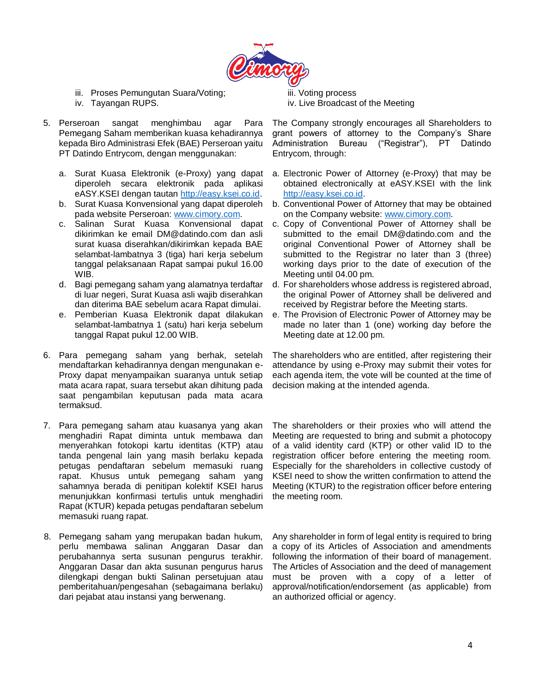

- iii. Proses Pemungutan Suara/Voting;
- iv. Tayangan RUPS.
- 5. Perseroan sangat menghimbau agar Para Pemegang Saham memberikan kuasa kehadirannya kepada Biro Administrasi Efek (BAE) Perseroan yaitu PT Datindo Entrycom, dengan menggunakan:
	- a. Surat Kuasa Elektronik (e-Proxy) yang dapat diperoleh secara elektronik pada aplikasi eASY.KSEI dengan tautan [http://easy.ksei.co.id.](http://easy.ksei.co.id/)
	- b. Surat Kuasa Konvensional yang dapat diperoleh pada website Perseroan[: www.cimory.com.](http://www.cimory.com/)
	- c. Salinan Surat Kuasa Konvensional dapat dikirimkan ke email DM@datindo.com dan asli surat kuasa diserahkan/dikirimkan kepada BAE selambat-lambatnya 3 (tiga) hari kerja sebelum tanggal pelaksanaan Rapat sampai pukul 16.00 WIB.
	- d. Bagi pemegang saham yang alamatnya terdaftar di luar negeri, Surat Kuasa asli wajib diserahkan dan diterima BAE sebelum acara Rapat dimulai.
	- e. Pemberian Kuasa Elektronik dapat dilakukan selambat-lambatnya 1 (satu) hari kerja sebelum tanggal Rapat pukul 12.00 WIB.
- 6. Para pemegang saham yang berhak, setelah mendaftarkan kehadirannya dengan mengunakan e-Proxy dapat menyampaikan suaranya untuk setiap mata acara rapat, suara tersebut akan dihitung pada saat pengambilan keputusan pada mata acara termaksud.
- 7. Para pemegang saham atau kuasanya yang akan menghadiri Rapat diminta untuk membawa dan menyerahkan fotokopi kartu identitas (KTP) atau tanda pengenal lain yang masih berlaku kepada petugas pendaftaran sebelum memasuki ruang rapat. Khusus untuk pemegang saham yang sahamnya berada di penitipan kolektif KSEI harus menunjukkan konfirmasi tertulis untuk menghadiri Rapat (KTUR) kepada petugas pendaftaran sebelum memasuki ruang rapat.
- 8. Pemegang saham yang merupakan badan hukum, perlu membawa salinan Anggaran Dasar dan perubahannya serta susunan pengurus terakhir. Anggaran Dasar dan akta susunan pengurus harus dilengkapi dengan bukti Salinan persetujuan atau pemberitahuan/pengesahan (sebagaimana berlaku) dari pejabat atau instansi yang berwenang.

iii. Voting process iv. Live Broadcast of the Meeting

The Company strongly encourages all Shareholders to grant powers of attorney to the Company's Share Administration Bureau ("Registrar"), PT Datindo Entrycom, through:

- a. Electronic Power of Attorney (e-Proxy) that may be obtained electronically at eASY.KSEI with the link [http://easy.ksei.co.id.](http://easy.ksei.co.id/)
- b. Conventional Power of Attorney that may be obtained on the Company website: [www.cimory.com.](http://www.cimory.com/)
- c. Copy of Conventional Power of Attorney shall be submitted to the email DM@datindo.com and the original Conventional Power of Attorney shall be submitted to the Registrar no later than 3 (three) working days prior to the date of execution of the Meeting until 04.00 pm.
- d. For shareholders whose address is registered abroad, the original Power of Attorney shall be delivered and received by Registrar before the Meeting starts.
- e. The Provision of Electronic Power of Attorney may be made no later than 1 (one) working day before the Meeting date at 12.00 pm.

The shareholders who are entitled, after registering their attendance by using e-Proxy may submit their votes for each agenda item, the vote will be counted at the time of decision making at the intended agenda.

The shareholders or their proxies who will attend the Meeting are requested to bring and submit a photocopy of a valid identity card (KTP) or other valid ID to the registration officer before entering the meeting room. Especially for the shareholders in collective custody of KSEI need to show the written confirmation to attend the Meeting (KTUR) to the registration officer before entering the meeting room.

Any shareholder in form of legal entity is required to bring a copy of its Articles of Association and amendments following the information of their board of management. The Articles of Association and the deed of management must be proven with a copy of a letter of approval/notification/endorsement (as applicable) from an authorized official or agency.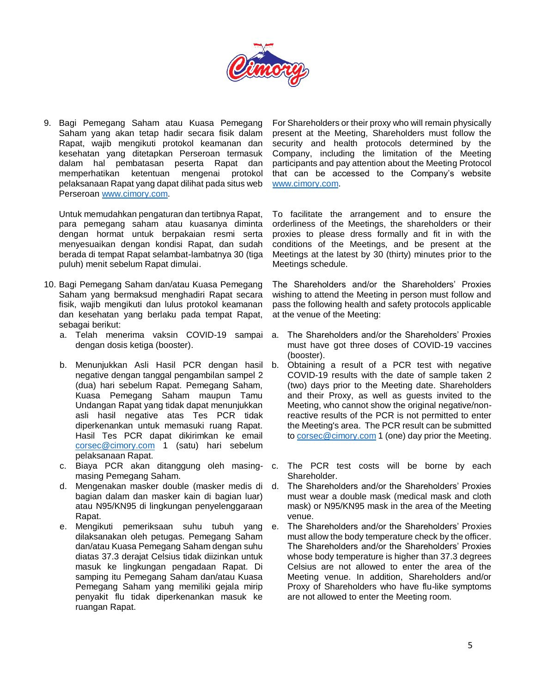

9. Bagi Pemegang Saham atau Kuasa Pemegang Saham yang akan tetap hadir secara fisik dalam Rapat, wajib mengikuti protokol keamanan dan kesehatan yang ditetapkan Perseroan termasuk dalam hal pembatasan peserta Rapat dan memperhatikan ketentuan mengenai protokol pelaksanaan Rapat yang dapat dilihat pada situs web Perseroan [www.cimory.com.](http://www.cimory.com/)

Untuk memudahkan pengaturan dan tertibnya Rapat, para pemegang saham atau kuasanya diminta dengan hormat untuk berpakaian resmi serta menyesuaikan dengan kondisi Rapat, dan sudah berada di tempat Rapat selambat-lambatnya 30 (tiga puluh) menit sebelum Rapat dimulai.

- 10. Bagi Pemegang Saham dan/atau Kuasa Pemegang Saham yang bermaksud menghadiri Rapat secara fisik, wajib mengikuti dan lulus protokol keamanan dan kesehatan yang berlaku pada tempat Rapat, sebagai berikut:
	- a. Telah menerima vaksin COVID-19 sampai dengan dosis ketiga (booster).
	- b. Menunjukkan Asli Hasil PCR dengan hasil negative dengan tanggal pengambilan sampel 2 (dua) hari sebelum Rapat. Pemegang Saham, Kuasa Pemegang Saham maupun Tamu Undangan Rapat yang tidak dapat menunjukkan asli hasil negative atas Tes PCR tidak diperkenankan untuk memasuki ruang Rapat. Hasil Tes PCR dapat dikirimkan ke email [corsec@cimory.com](mailto:corsec@cimory.com) 1 (satu) hari sebelum pelaksanaan Rapat.
	- c. Biaya PCR akan ditanggung oleh masingmasing Pemegang Saham.
	- d. Mengenakan masker double (masker medis di bagian dalam dan masker kain di bagian luar) atau N95/KN95 di lingkungan penyelenggaraan Rapat.
	- e. Mengikuti pemeriksaan suhu tubuh yang dilaksanakan oleh petugas. Pemegang Saham dan/atau Kuasa Pemegang Saham dengan suhu diatas 37.3 derajat Celsius tidak diizinkan untuk masuk ke lingkungan pengadaan Rapat. Di samping itu Pemegang Saham dan/atau Kuasa Pemegang Saham yang memiliki gejala mirip penyakit flu tidak diperkenankan masuk ke ruangan Rapat.

For Shareholders or their proxy who will remain physically present at the Meeting, Shareholders must follow the security and health protocols determined by the Company, including the limitation of the Meeting participants and pay attention about the Meeting Protocol that can be accessed to the Company's website [www.cimory.com.](http://www.cimory.com/)

To facilitate the arrangement and to ensure the orderliness of the Meetings, the shareholders or their proxies to please dress formally and fit in with the conditions of the Meetings, and be present at the Meetings at the latest by 30 (thirty) minutes prior to the Meetings schedule.

The Shareholders and/or the Shareholders' Proxies wishing to attend the Meeting in person must follow and pass the following health and safety protocols applicable at the venue of the Meeting:

- The Shareholders and/or the Shareholders' Proxies must have got three doses of COVID-19 vaccines (booster).
- b. Obtaining a result of a PCR test with negative COVID-19 results with the date of sample taken 2 (two) days prior to the Meeting date. Shareholders and their Proxy, as well as guests invited to the Meeting, who cannot show the original negative/nonreactive results of the PCR is not permitted to enter the Meeting's area. The PCR result can be submitted to [corsec@cimory.com](mailto:corsec@cimory.com) 1 (one) day prior the Meeting.
- The PCR test costs will be borne by each Shareholder.
- The Shareholders and/or the Shareholders' Proxies must wear a double mask (medical mask and cloth mask) or N95/KN95 mask in the area of the Meeting venue.
- e. The Shareholders and/or the Shareholders' Proxies must allow the body temperature check by the officer. The Shareholders and/or the Shareholders' Proxies whose body temperature is higher than 37.3 degrees Celsius are not allowed to enter the area of the Meeting venue. In addition, Shareholders and/or Proxy of Shareholders who have flu-like symptoms are not allowed to enter the Meeting room.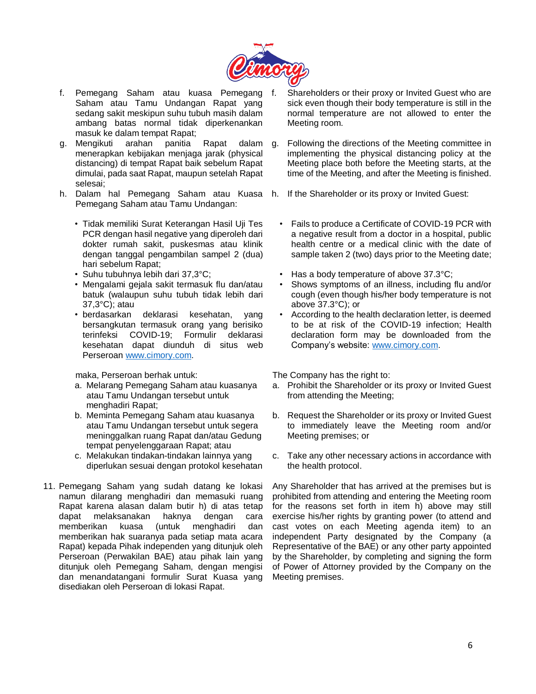

- f. Pemegang Saham atau kuasa Pemegang Saham atau Tamu Undangan Rapat yang sedang sakit meskipun suhu tubuh masih dalam ambang batas normal tidak diperkenankan masuk ke dalam tempat Rapat;
- g. Mengikuti arahan panitia Rapat dalam menerapkan kebijakan menjaga jarak (physical distancing) di tempat Rapat baik sebelum Rapat dimulai, pada saat Rapat, maupun setelah Rapat selesai;
- h. Dalam hal Pemegang Saham atau Kuasa Pemegang Saham atau Tamu Undangan:
	- Tidak memiliki Surat Keterangan Hasil Uji Tes PCR dengan hasil negative yang diperoleh dari dokter rumah sakit, puskesmas atau klinik dengan tanggal pengambilan sampel 2 (dua) hari sebelum Rapat;
	- Suhu tubuhnya lebih dari 37,3°C;
	- Mengalami gejala sakit termasuk flu dan/atau batuk (walaupun suhu tubuh tidak lebih dari 37,3°C); atau
	- berdasarkan deklarasi kesehatan, yang bersangkutan termasuk orang yang berisiko terinfeksi COVID-19; Formulir deklarasi kesehatan dapat diunduh di situs web Perseroan [www.cimory.com.](http://www.cimory.com/)

maka, Perseroan berhak untuk:

- a. Melarang Pemegang Saham atau kuasanya atau Tamu Undangan tersebut untuk menghadiri Rapat;
- b. Meminta Pemegang Saham atau kuasanya atau Tamu Undangan tersebut untuk segera meninggalkan ruang Rapat dan/atau Gedung tempat penyelenggaraan Rapat; atau
- c. Melakukan tindakan-tindakan lainnya yang diperlukan sesuai dengan protokol kesehatan
- 11. Pemegang Saham yang sudah datang ke lokasi namun dilarang menghadiri dan memasuki ruang Rapat karena alasan dalam butir h) di atas tetap dapat melaksanakan haknya dengan cara memberikan kuasa (untuk menghadiri dan memberikan hak suaranya pada setiap mata acara Rapat) kepada Pihak independen yang ditunjuk oleh Perseroan (Perwakilan BAE) atau pihak lain yang ditunjuk oleh Pemegang Saham, dengan mengisi dan menandatangani formulir Surat Kuasa yang disediakan oleh Perseroan di lokasi Rapat.
- Shareholders or their proxy or Invited Guest who are sick even though their body temperature is still in the normal temperature are not allowed to enter the Meeting room.
- g. Following the directions of the Meeting committee in implementing the physical distancing policy at the Meeting place both before the Meeting starts, at the time of the Meeting, and after the Meeting is finished.
- If the Shareholder or its proxy or Invited Guest:
	- Fails to produce a Certificate of COVID-19 PCR with a negative result from a doctor in a hospital, public health centre or a medical clinic with the date of sample taken 2 (two) days prior to the Meeting date;
	- Has a body temperature of above 37.3°C;
	- Shows symptoms of an illness, including flu and/or cough (even though his/her body temperature is not above 37.3°C); or
	- According to the health declaration letter, is deemed to be at risk of the COVID-19 infection; Health declaration form may be downloaded from the Company's website: [www.cimory.com.](http://www.cimory.com/)

The Company has the right to:

- a. Prohibit the Shareholder or its proxy or Invited Guest from attending the Meeting;
- b. Request the Shareholder or its proxy or Invited Guest to immediately leave the Meeting room and/or Meeting premises; or
- c. Take any other necessary actions in accordance with the health protocol.

Any Shareholder that has arrived at the premises but is prohibited from attending and entering the Meeting room for the reasons set forth in item h) above may still exercise his/her rights by granting power (to attend and cast votes on each Meeting agenda item) to an independent Party designated by the Company (a Representative of the BAE) or any other party appointed by the Shareholder, by completing and signing the form of Power of Attorney provided by the Company on the Meeting premises.